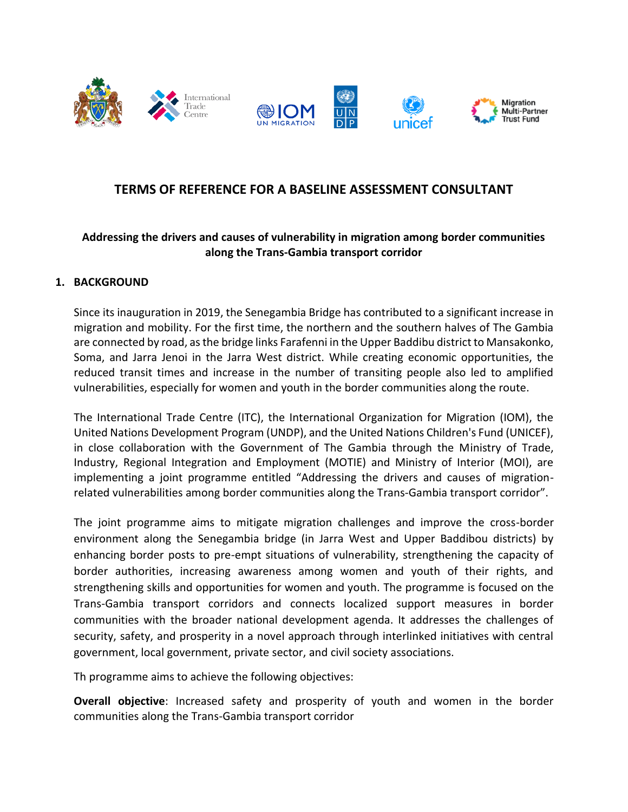





# **TERMS OF REFERENCE FOR A BASELINE ASSESSMENT CONSULTANT**

### **Addressing the drivers and causes of vulnerability in migration among border communities along the Trans-Gambia transport corridor**

#### **1. BACKGROUND**

Since its inauguration in 2019, the Senegambia Bridge has contributed to a significant increase in migration and mobility. For the first time, the northern and the southern halves of The Gambia are connected by road, as the bridge links Farafenni in the Upper Baddibu district to Mansakonko, Soma, and Jarra Jenoi in the Jarra West district. While creating economic opportunities, the reduced transit times and increase in the number of transiting people also led to amplified vulnerabilities, especially for women and youth in the border communities along the route.

The International Trade Centre (ITC), the International Organization for Migration (IOM), the United Nations Development Program (UNDP), and the United Nations Children's Fund (UNICEF), in close collaboration with the Government of The Gambia through the Ministry of Trade, Industry, Regional Integration and Employment (MOTIE) and Ministry of Interior (MOI), are implementing a joint programme entitled "Addressing the drivers and causes of migrationrelated vulnerabilities among border communities along the Trans-Gambia transport corridor".

The joint programme aims to mitigate migration challenges and improve the cross-border environment along the Senegambia bridge (in Jarra West and Upper Baddibou districts) by enhancing border posts to pre-empt situations of vulnerability, strengthening the capacity of border authorities, increasing awareness among women and youth of their rights, and strengthening skills and opportunities for women and youth. The programme is focused on the Trans-Gambia transport corridors and connects localized support measures in border communities with the broader national development agenda. It addresses the challenges of security, safety, and prosperity in a novel approach through interlinked initiatives with central government, local government, private sector, and civil society associations.

Th programme aims to achieve the following objectives:

**Overall objective**: Increased safety and prosperity of youth and women in the border communities along the Trans-Gambia transport corridor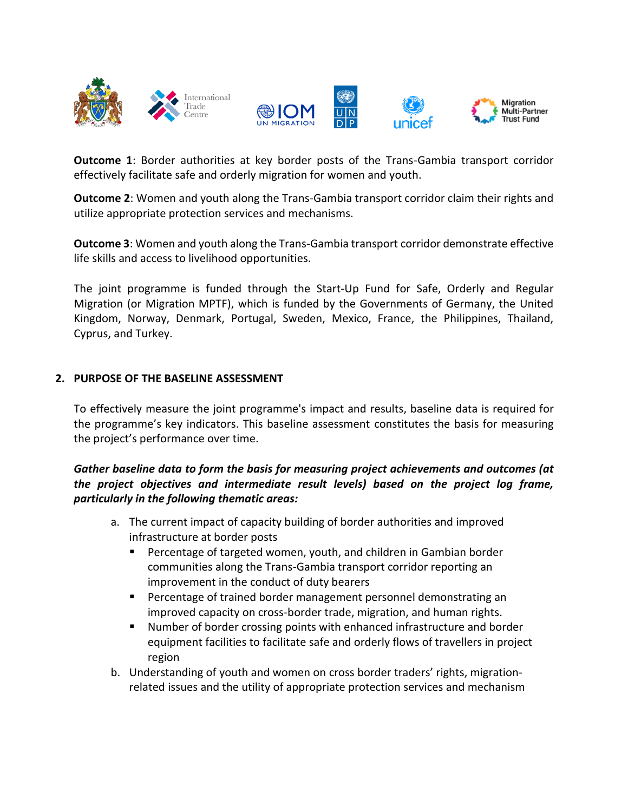

**Outcome 1**: Border authorities at key border posts of the Trans-Gambia transport corridor effectively facilitate safe and orderly migration for women and youth.

**Outcome 2**: Women and youth along the Trans-Gambia transport corridor claim their rights and utilize appropriate protection services and mechanisms.

**Outcome 3**: Women and youth along the Trans-Gambia transport corridor demonstrate effective life skills and access to livelihood opportunities.

The joint programme is funded through the Start-Up Fund for Safe, Orderly and Regular Migration (or Migration MPTF), which is funded by the Governments of Germany, the United Kingdom, Norway, Denmark, Portugal, Sweden, Mexico, France, the Philippines, Thailand, Cyprus, and Turkey.

#### **2. PURPOSE OF THE BASELINE ASSESSMENT**

To effectively measure the joint programme's impact and results, baseline data is required for the programme's key indicators. This baseline assessment constitutes the basis for measuring the project's performance over time.

### *Gather baseline data to form the basis for measuring project achievements and outcomes (at the project objectives and intermediate result levels) based on the project log frame, particularly in the following thematic areas:*

- a. The current impact of capacity building of border authorities and improved infrastructure at border posts
	- Percentage of targeted women, youth, and children in Gambian border communities along the Trans-Gambia transport corridor reporting an improvement in the conduct of duty bearers
	- Percentage of trained border management personnel demonstrating an improved capacity on cross-border trade, migration, and human rights.
	- Number of border crossing points with enhanced infrastructure and border equipment facilities to facilitate safe and orderly flows of travellers in project region
- b. Understanding of youth and women on cross border traders' rights, migrationrelated issues and the utility of appropriate protection services and mechanism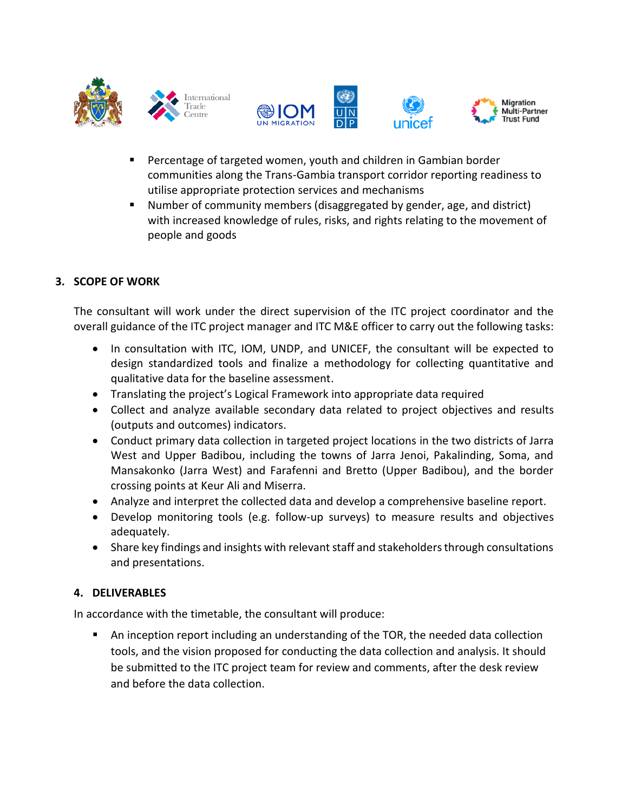





- Percentage of targeted women, youth and children in Gambian border communities along the Trans-Gambia transport corridor reporting readiness to utilise appropriate protection services and mechanisms
- Number of community members (disaggregated by gender, age, and district) with increased knowledge of rules, risks, and rights relating to the movement of people and goods

## **3. SCOPE OF WORK**

The consultant will work under the direct supervision of the ITC project coordinator and the overall guidance of the ITC project manager and ITC M&E officer to carry out the following tasks:

- In consultation with ITC, IOM, UNDP, and UNICEF, the consultant will be expected to design standardized tools and finalize a methodology for collecting quantitative and qualitative data for the baseline assessment.
- Translating the project's Logical Framework into appropriate data required
- Collect and analyze available secondary data related to project objectives and results (outputs and outcomes) indicators.
- Conduct primary data collection in targeted project locations in the two districts of Jarra West and Upper Badibou, including the towns of Jarra Jenoi, Pakalinding, Soma, and Mansakonko (Jarra West) and Farafenni and Bretto (Upper Badibou), and the border crossing points at Keur Ali and Miserra.
- Analyze and interpret the collected data and develop a comprehensive baseline report.
- Develop monitoring tools (e.g. follow-up surveys) to measure results and objectives adequately.
- Share key findings and insights with relevant staff and stakeholders through consultations and presentations.

### **4. DELIVERABLES**

In accordance with the timetable, the consultant will produce:

An inception report including an understanding of the TOR, the needed data collection tools, and the vision proposed for conducting the data collection and analysis. It should be submitted to the ITC project team for review and comments, after the desk review and before the data collection.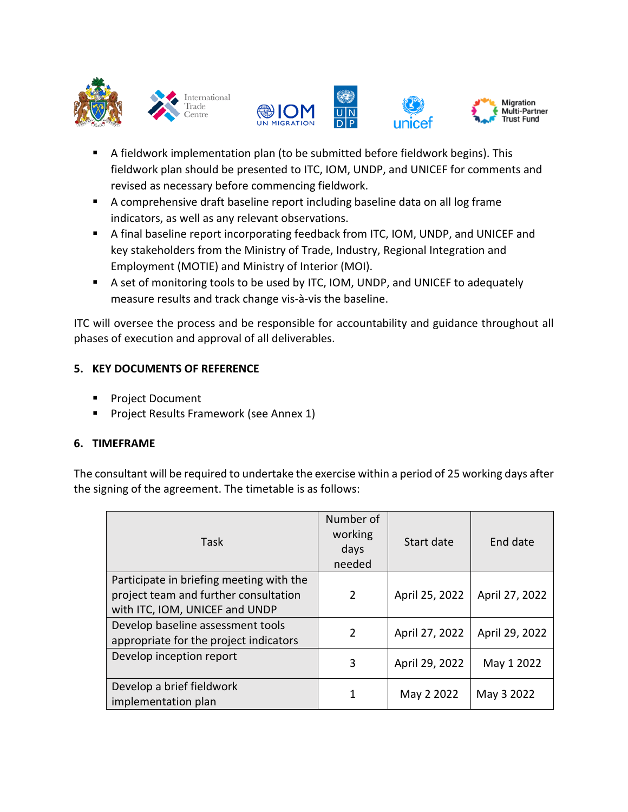







- A fieldwork implementation plan (to be submitted before fieldwork begins). This fieldwork plan should be presented to ITC, IOM, UNDP, and UNICEF for comments and revised as necessary before commencing fieldwork.
- A comprehensive draft baseline report including baseline data on all log frame indicators, as well as any relevant observations.
- A final baseline report incorporating feedback from ITC, IOM, UNDP, and UNICEF and key stakeholders from the Ministry of Trade, Industry, Regional Integration and Employment (MOTIE) and Ministry of Interior (MOI).
- A set of monitoring tools to be used by ITC, IOM, UNDP, and UNICEF to adequately measure results and track change vis-à-vis the baseline.

ITC will oversee the process and be responsible for accountability and guidance throughout all phases of execution and approval of all deliverables.

## **5. KEY DOCUMENTS OF REFERENCE**

- Project Document
- Project Results Framework (see Annex 1)

## **6. TIMEFRAME**

The consultant will be required to undertake the exercise within a period of 25 working days after the signing of the agreement. The timetable is as follows:

| Task                                                                                                                | Number of<br>working<br>days<br>needed | Start date     | End date       |
|---------------------------------------------------------------------------------------------------------------------|----------------------------------------|----------------|----------------|
| Participate in briefing meeting with the<br>project team and further consultation<br>with ITC, IOM, UNICEF and UNDP | 2                                      | April 25, 2022 | April 27, 2022 |
| Develop baseline assessment tools<br>appropriate for the project indicators                                         | $\mathcal{P}$                          | April 27, 2022 | April 29, 2022 |
| Develop inception report                                                                                            | 3                                      | April 29, 2022 | May 1 2022     |
| Develop a brief fieldwork<br>implementation plan                                                                    |                                        | May 2 2022     | May 3 2022     |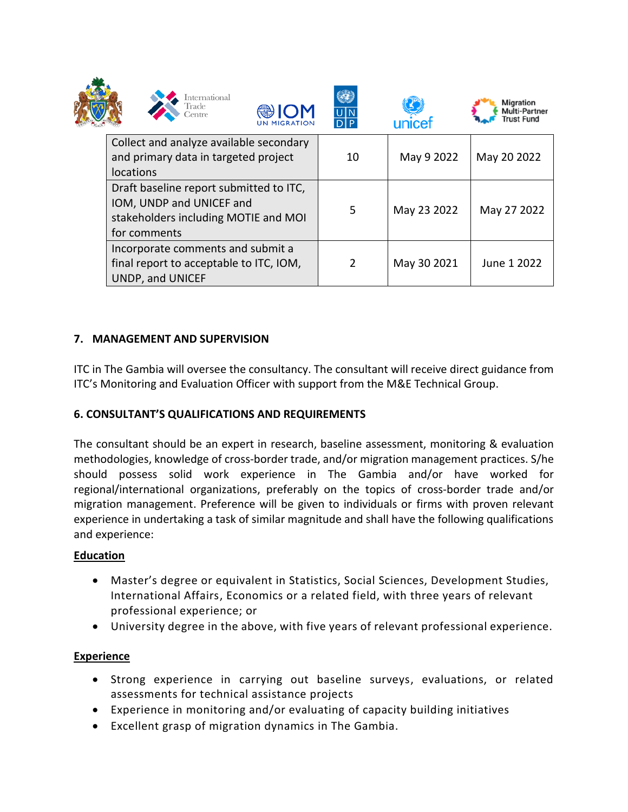

locations



| Draft baseline report submitted to ITC,<br>IOM, UNDP and UNICEF and<br>stakeholders including MOTIE and MOI<br>for comments | -5 | May 23 2022 | May 27 2022 |
|-----------------------------------------------------------------------------------------------------------------------------|----|-------------|-------------|
| Incorporate comments and submit a<br>final report to acceptable to ITC, IOM,<br>UNDP, and UNICEF                            | 2  | May 30 2021 | June 1 2022 |

## **7. MANAGEMENT AND SUPERVISION**

ITC in The Gambia will oversee the consultancy. The consultant will receive direct guidance from ITC's Monitoring and Evaluation Officer with support from the M&E Technical Group.

### **6. CONSULTANT'S QUALIFICATIONS AND REQUIREMENTS**

The consultant should be an expert in research, baseline assessment, monitoring & evaluation methodologies, knowledge of cross-border trade, and/or migration management practices. S/he should possess solid work experience in The Gambia and/or have worked for regional/international organizations, preferably on the topics of cross-border trade and/or migration management. Preference will be given to individuals or firms with proven relevant experience in undertaking a task of similar magnitude and shall have the following qualifications and experience:

### **Education**

- Master's degree or equivalent in Statistics, Social Sciences, Development Studies, International Affairs, Economics or a related field, with three years of relevant professional experience; or
- University degree in the above, with five years of relevant professional experience.

### **Experience**

- Strong experience in carrying out baseline surveys, evaluations, or related assessments for technical assistance projects
- Experience in monitoring and/or evaluating of capacity building initiatives
- Excellent grasp of migration dynamics in The Gambia.